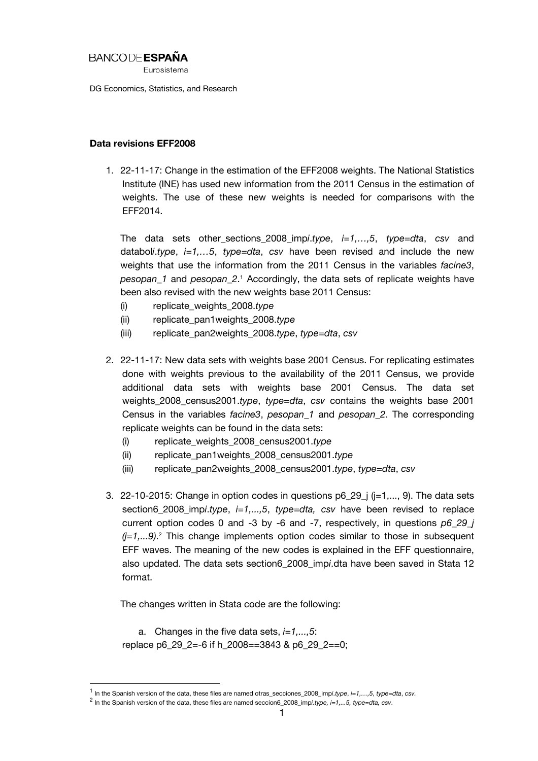## BANCODE **ESPAÑA**

**Furosistema** 

DG Economics, Statistics, and Research

## Data revisions EFF2008

1. 22-11-17: Change in the estimation of the EFF2008 weights. The National Statistics Institute (INE) has used new information from the 2011 Census in the estimation of weights. The use of these new weights is needed for comparisons with the EFF2014.

The data sets other\_sections\_2008\_imp*i*.*type*, *i=1,…,5*, *type=dta*, *csv* and databol*i*.*type*, *i=1,…5*, *type=dta*, *csv* have been revised and include the new weights that use the information from the 2011 Census in the variables *facine3*, *pesopan\_1* and *pesopan\_2*. 1 Accordingly, the data sets of replicate weights have been also revised with the new weights base 2011 Census:

- (i) replicate\_weights\_2008.*type*
- (ii) replicate\_pan1weights\_2008.*type*
- (iii) replicate\_pan2weights\_2008.*type*, *type=dta*, *csv*
- 2. 22-11-17: New data sets with weights base 2001 Census. For replicating estimates done with weights previous to the availability of the 2011 Census, we provide additional data sets with weights base 2001 Census. The data set weights\_2008\_census2001.*type*, *type=dta*, *csv* contains the weights base 2001 Census in the variables *facine3*, *pesopan\_1* and *pesopan\_2*. The corresponding replicate weights can be found in the data sets:
	- (i) replicate\_weights\_2008\_census2001.*type*
	- (ii) replicate\_pan1weights\_2008\_census2001.*type*
	- (iii) replicate\_pan2weights\_2008\_census2001.*type*, *type=dta*, *csv*
- 3. 22-10-2015: Change in option codes in questions  $p6_29_1$  ( $j=1,..., 9$ ). The data sets section6\_2008\_imp*i*.*type*, *i=1,...,5*, *type=dta, csv* have been revised to replace current option codes 0 and -3 by -6 and -7, respectively, in questions *p6\_29\_j (j=1,...9)*. 2 This change implements option codes similar to those in subsequent EFF waves. The meaning of the new codes is explained in the EFF questionnaire, also updated. The data sets section6\_2008\_imp*i*.dta have been saved in Stata 12 format.

The changes written in Stata code are the following:

a. Changes in the five data sets, *i=1,...,5*: replace p6\_29\_2=-6 if h\_2008==3843 & p6\_29\_2==0;

 $\overline{\phantom{a}}$ 

<sup>1</sup> In the Spanish version of the data, these files are named otras\_secciones\_2008\_imp*i*.*type*, *i=1,…,5*, *type=dta*, *csv.*

<sup>2</sup> In the Spanish version of the data, these files are named seccion6\_2008\_imp*i.type, i=1,...5, type=dta, csv*.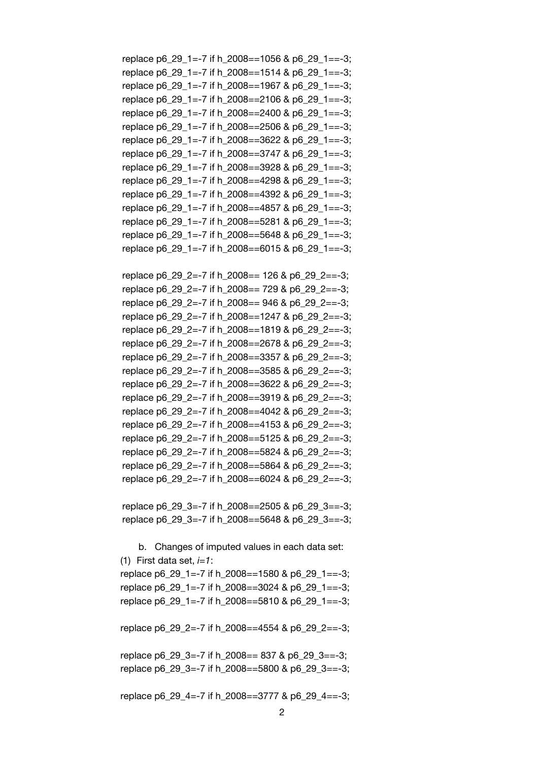replace p6\_29\_1=-7 if h\_2008==1056 & p6\_29\_1==-3; replace p6\_29\_1=-7 if h\_2008==1514 & p6\_29\_1==-3; replace p6\_29\_1=-7 if h\_2008==1967 & p6\_29\_1==-3; replace p6\_29\_1=-7 if h\_2008==2106 & p6\_29\_1==-3; replace p6\_29\_1=-7 if h\_2008==2400 & p6\_29\_1==-3; replace p6\_29\_1=-7 if h\_2008==2506 & p6\_29\_1==-3; replace p6\_29\_1=-7 if h\_2008==3622 & p6\_29\_1==-3; replace p6 29 1=-7 if h 2008==3747 & p6 29 1==-3; replace p6\_29\_1=-7 if h\_2008==3928 & p6\_29\_1==-3; replace p6\_29\_1=-7 if h\_2008==4298 & p6\_29\_1==-3; replace p6 29 1=-7 if h 2008==4392 & p6 29 1==-3; replace p6\_29\_1=-7 if h\_2008==4857 & p6\_29\_1==-3; replace p6\_29\_1=-7 if h\_2008==5281 & p6\_29\_1==-3; replace p6 29 1=-7 if h 2008==5648 & p6 29 1==-3; replace p6\_29\_1=-7 if h\_2008==6015 & p6\_29\_1==-3;

replace p6\_29\_2=-7 if h\_2008== 126 & p6\_29\_2==-3; replace p6\_29\_2=-7 if h\_2008== 729 & p6\_29\_2==-3; replace p6 29 2=-7 if h 2008== 946 & p6 29 2==-3; replace p6 29 2=-7 if h 2008==1247 & p6 29 2==-3; replace p6\_29\_2=-7 if h\_2008==1819 & p6\_29\_2==-3; replace p6\_29\_2=-7 if h\_2008==2678 & p6\_29\_2==-3; replace p6 29 2=-7 if h 2008==3357 & p6 29 2==-3; replace p6\_29\_2=-7 if h\_2008==3585 & p6\_29\_2==-3; replace p6\_29\_2=-7 if h\_2008==3622 & p6\_29\_2==-3; replace p6 29 2=-7 if h 2008==3919 & p6 29 2==-3; replace p6\_29\_2=-7 if h\_2008==4042 & p6\_29\_2==-3; replace p6\_29\_2=-7 if h\_2008==4153 & p6\_29\_2==-3; replace p6\_29\_2=-7 if h\_2008==5125 & p6\_29\_2==-3; replace p6\_29\_2=-7 if h\_2008==5824 & p6\_29\_2==-3; replace p6\_29\_2=-7 if h\_2008==5864 & p6\_29\_2==-3; replace p6\_29\_2=-7 if h\_2008==6024 & p6\_29\_2==-3;

replace p6\_29\_3=-7 if h\_2008==2505 & p6\_29\_3==-3; replace p6 29 3=-7 if h 2008==5648 & p6 29 3==-3;

b. Changes of imputed values in each data set: (1) First data set, *i=1*: replace p6\_29\_1=-7 if h\_2008==1580 & p6\_29\_1==-3; replace p6\_29\_1=-7 if h\_2008==3024 & p6\_29\_1==-3; replace p6\_29\_1=-7 if h\_2008==5810 & p6\_29\_1==-3;

replace p6 29 2=-7 if h 2008==4554 & p6 29 2==-3;

replace p6\_29\_3=-7 if h\_2008== 837 & p6\_29\_3==-3; replace p6 29 3=-7 if h 2008==5800 & p6 29 3==-3;

replace p6\_29\_4=-7 if h\_2008==3777 & p6\_29\_4==-3;